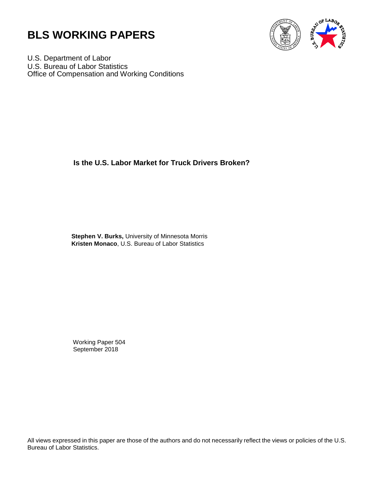



U.S. Department of Labor U.S. Bureau of Labor Statistics Office of Compensation and Working Conditions

**Is the U.S. Labor Market for Truck Drivers Broken?** 

 **Stephen V. Burks,** University of Minnesota Morris **Kristen Monaco**, U.S. Bureau of Labor Statistics

Working Paper 504 September 2018

All views expressed in this paper are those of the authors and do not necessarily reflect the views or policies of the U.S. Bureau of Labor Statistics.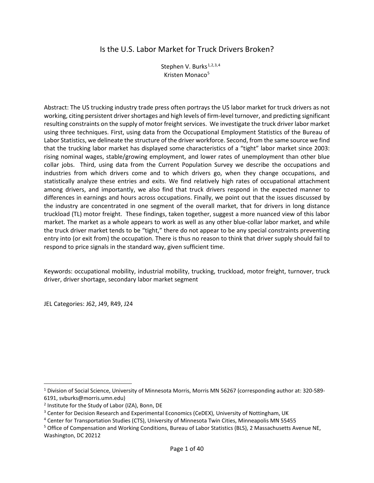# Is the U.S. Labor Market for Truck Drivers Broken?

Stephen V. Burks<sup>[1,](#page-1-0)[2](#page-1-1),[3,](#page-1-2)[4](#page-1-3)</sup> Kristen Monaco<sup>[5](#page-1-4)</sup>

Abstract: The US trucking industry trade press often portrays the US labor market for truck drivers as not working, citing persistent driver shortages and high levels of firm-level turnover, and predicting significant resulting constraints on the supply of motor freight services. We investigate the truck driver labor market using three techniques. First, using data from the Occupational Employment Statistics of the Bureau of Labor Statistics, we delineate the structure of the driver workforce. Second, from the same source we find that the trucking labor market has displayed some characteristics of a "tight" labor market since 2003: rising nominal wages, stable/growing employment, and lower rates of unemployment than other blue collar jobs. Third, using data from the Current Population Survey we describe the occupations and industries from which drivers come and to which drivers go, when they change occupations, and statistically analyze these entries and exits. We find relatively high rates of occupational attachment among drivers, and importantly, we also find that truck drivers respond in the expected manner to differences in earnings and hours across occupations. Finally, we point out that the issues discussed by the industry are concentrated in one segment of the overall market, that for drivers in long distance truckload (TL) motor freight. These findings, taken together, suggest a more nuanced view of this labor market. The market as a whole appears to work as well as any other blue-collar labor market, and while the truck driver market tends to be "tight," there do not appear to be any special constraints preventing entry into (or exit from) the occupation. There is thus no reason to think that driver supply should fail to respond to price signals in the standard way, given sufficient time.

Keywords: occupational mobility, industrial mobility, trucking, truckload, motor freight, turnover, truck driver, driver shortage, secondary labor market segment

JEL Categories: J62, J49, R49, J24

<span id="page-1-0"></span><sup>&</sup>lt;sup>1</sup> Division of Social Science, University of Minnesota Morris, Morris MN 56267 (corresponding author at: 320-589-6191, svburks@morris.umn.edu)

<span id="page-1-1"></span><sup>2</sup> Institute for the Study of Labor (IZA), Bonn, DE

<span id="page-1-2"></span><sup>&</sup>lt;sup>3</sup> Center for Decision Research and Experimental Economics (CeDEX), University of Nottingham, UK

<span id="page-1-3"></span><sup>4</sup> Center for Transportation Studies (CTS), University of Minnesota Twin Cities, Minneapolis MN 55455

<span id="page-1-4"></span><sup>5</sup> Office of Compensation and Working Conditions, Bureau of Labor Statistics (BLS), 2 Massachusetts Avenue NE, Washington, DC 20212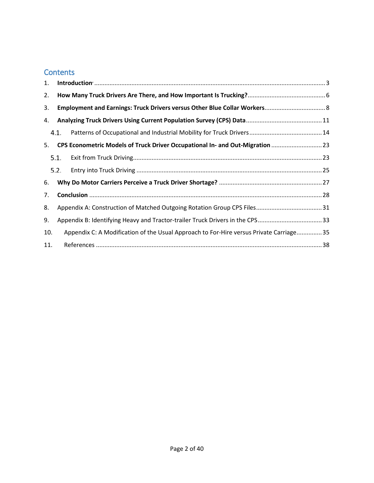# **Contents**

| 1.  |                                                                              |                                                                                        |  |  |  |
|-----|------------------------------------------------------------------------------|----------------------------------------------------------------------------------------|--|--|--|
| 2.  |                                                                              |                                                                                        |  |  |  |
| 3.  |                                                                              |                                                                                        |  |  |  |
| 4.  |                                                                              |                                                                                        |  |  |  |
|     | 4.1.                                                                         |                                                                                        |  |  |  |
| 5.  |                                                                              | CPS Econometric Models of Truck Driver Occupational In- and Out-Migration  23          |  |  |  |
|     | 5.1.                                                                         |                                                                                        |  |  |  |
|     | 5.2.                                                                         |                                                                                        |  |  |  |
| 6.  |                                                                              |                                                                                        |  |  |  |
| 7.  |                                                                              |                                                                                        |  |  |  |
| 8.  |                                                                              |                                                                                        |  |  |  |
| 9.  | Appendix B: Identifying Heavy and Tractor-trailer Truck Drivers in the CPS33 |                                                                                        |  |  |  |
| 10. |                                                                              | Appendix C: A Modification of the Usual Approach to For-Hire versus Private Carriage35 |  |  |  |
| 11. |                                                                              |                                                                                        |  |  |  |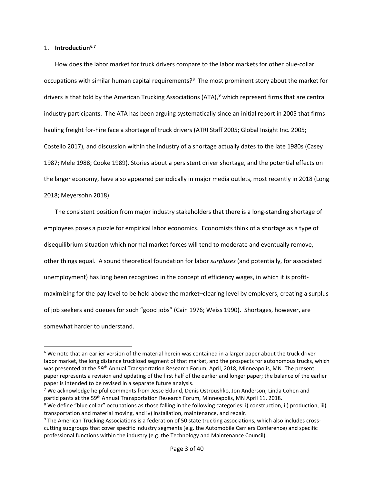# <span id="page-3-0"></span>1. **Introduction[6](#page-3-1),[7](#page-3-2)**

l

<span id="page-3-5"></span>How does the labor market for truck drivers compare to the labor markets for other blue-collar occupations with similar human capital requirements?<sup>8</sup> The most prominent story about the market for drivers is that told by the American Trucking Associations (ATA), [9](#page-3-4) which represent firms that are central industry participants. The ATA has been arguing systematically since an initial report in 2005 that firms hauling freight for-hire face a shortage of truck drivers (ATRI Staff 2005; Global Insight Inc. 2005; Costello 2017), and discussion within the industry of a shortage actually dates to the late 1980s (Casey 1987; Mele 1988; Cooke 1989). Stories about a persistent driver shortage, and the potential effects on the larger economy, have also appeared periodically in major media outlets, most recently in 2018 (Long 2018; Meyersohn 2018).

The consistent position from major industry stakeholders that there is a long-standing shortage of employees poses a puzzle for empirical labor economics. Economists think of a shortage as a type of disequilibrium situation which normal market forces will tend to moderate and eventually remove, other things equal. A sound theoretical foundation for labor *surpluses* (and potentially, for associated unemployment) has long been recognized in the concept of efficiency wages, in which it is profitmaximizing for the pay level to be held above the market–clearing level by employers, creating a surplus of job seekers and queues for such "good jobs" (Cain 1976; Weiss 1990). Shortages, however, are somewhat harder to understand.

<span id="page-3-1"></span> $6$  We note that an earlier version of the material herein was contained in a larger paper about the truck driver labor market, the long distance truckload segment of that market, and the prospects for autonomous trucks, which was presented at the 59<sup>th</sup> Annual Transportation Research Forum, April, 2018, Minneapolis, MN. The present paper represents a revision and updating of the first half of the earlier and longer paper; the balance of the earlier paper is intended to be revised in a separate future analysis.

<span id="page-3-2"></span><sup>&</sup>lt;sup>7</sup> We acknowledge helpful comments from Jesse Eklund, Denis Ostroushko, Jon Anderson, Linda Cohen and

<span id="page-3-3"></span>participants at the 59<sup>th</sup> Annual Transportation Research Forum, Minneapolis, MN April 11, 2018.<br><sup>8</sup> We define "blue collar" occupations as those falling in the following categories: i) construction, ii) production, iii) transportation and material moving, and iv) installation, maintenance, and repair.<br><sup>9</sup> The American Trucking Associations is a federation of 50 state trucking associations, which also includes cross-

<span id="page-3-4"></span>cutting subgroups that cover specific industry segments (e.g. the Automobile Carriers Conference) and specific professional functions within the industry (e.g. the Technology and Maintenance Council).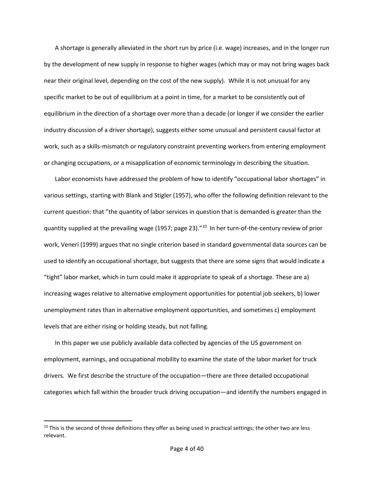A shortage is generally alleviated in the short run by price (i.e. wage) increases, and in the longer run by the development of new supply in response to higher wages (which may or may not bring wages back near their original level, depending on the cost of the new supply). While it is not unusual for any specific market to be out of equilibrium at a point in time, for a market to be consistently out of equilibrium in the direction of a shortage over more than a decade (or longer if we consider the earlier industry discussion of a driver shortage), suggests either some unusual and persistent causal factor at work, such as a skills-mismatch or regulatory constraint preventing workers from entering employment or changing occupations, or a misapplication of economic terminology in describing the situation.

Labor economists have addressed the problem of how to identify "occupational labor shortages" in various settings, starting with Blank and Stigler (1957), who offer the following definition relevant to the current question: that "the quantity of labor services in question that is demanded is greater than the quantity supplied at the prevailing wage (1957; page 23)."<sup>[10](#page-4-0)</sup> In her turn-of-the-century review of prior work, Veneri (1999) argues that no single criterion based in standard governmental data sources can be used to identify an occupational shortage, but suggests that there are some signs that would indicate a "tight" labor market, which in turn could make it appropriate to speak of a shortage. These are a) increasing wages relative to alternative employment opportunities for potential job seekers, b) lower unemployment rates than in alternative employment opportunities, and sometimes c) employment levels that are either rising or holding steady, but not falling.

In this paper we use publicly available data collected by agencies of the US government on employment, earnings, and occupational mobility to examine the state of the labor market for truck drivers. We first describe the structure of the occupation—there are three detailed occupational categories which fall within the broader truck driving occupation—and identify the numbers engaged in

<span id="page-4-0"></span> $10$  This is the second of three definitions they offer as being used in practical settings; the other two are less relevant.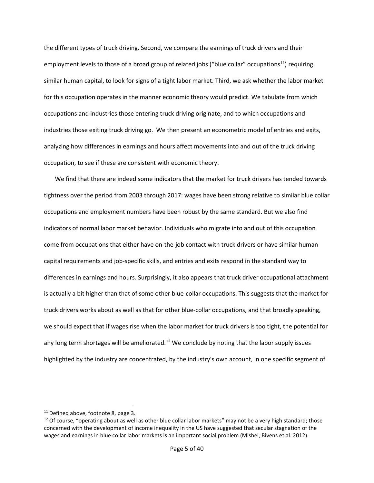the different types of truck driving. Second, we compare the earnings of truck drivers and their employment levels to those of a broad group of related jobs ("blue collar" occupations<sup>[11](#page-5-0)</sup>) requiring similar human capital, to look for signs of a tight labor market. Third, we ask whether the labor market for this occupation operates in the manner economic theory would predict. We tabulate from which occupations and industries those entering truck driving originate, and to which occupations and industries those exiting truck driving go. We then present an econometric model of entries and exits, analyzing how differences in earnings and hours affect movements into and out of the truck driving occupation, to see if these are consistent with economic theory.

We find that there are indeed some indicators that the market for truck drivers has tended towards tightness over the period from 2003 through 2017: wages have been strong relative to similar blue collar occupations and employment numbers have been robust by the same standard. But we also find indicators of normal labor market behavior. Individuals who migrate into and out of this occupation come from occupations that either have on-the-job contact with truck drivers or have similar human capital requirements and job-specific skills, and entries and exits respond in the standard way to differences in earnings and hours. Surprisingly, it also appears that truck driver occupational attachment is actually a bit higher than that of some other blue-collar occupations. This suggests that the market for truck drivers works about as well as that for other blue-collar occupations, and that broadly speaking, we should expect that if wages rise when the labor market for truck drivers is too tight, the potential for any long term shortages will be ameliorated.<sup>[12](#page-5-1)</sup> We conclude by noting that the labor supply issues highlighted by the industry are concentrated, by the industry's own account, in one specific segment of

<span id="page-5-1"></span><span id="page-5-0"></span><sup>&</sup>lt;sup>11</sup> Defined above, footnot[e 8,](#page-3-5) page 3.<br><sup>12</sup> Of course, "operating about as well as other blue collar labor markets" may not be a very high standard; those concerned with the development of income inequality in the US have suggested that secular stagnation of the wages and earnings in blue collar labor markets is an important social problem (Mishel, Bivens et al. 2012).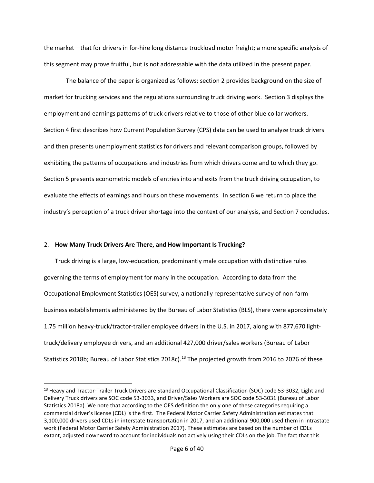the market—that for drivers in for-hire long distance truckload motor freight; a more specific analysis of this segment may prove fruitful, but is not addressable with the data utilized in the present paper.

The balance of the paper is organized as follows: section [2](#page-6-0) provides background on the size of market for trucking services and the regulations surrounding truck driving work. Sectio[n 3](#page-8-0) displays the employment and earnings patterns of truck drivers relative to those of other blue collar workers. Sectio[n 4](#page-11-0) first describes how Current Population Survey (CPS) data can be used to analyze truck drivers and then presents unemployment statistics for drivers and relevant comparison groups, followed by exhibiting the patterns of occupations and industries from which drivers come and to which they go. Sectio[n 5](#page-23-0) presents econometric models of entries into and exits from the truck driving occupation, to evaluate the effects of earnings and hours on these movements. In sectio[n 6](#page-27-0) we return to place the industry's perception of a truck driver shortage into the context of our analysis, and Sectio[n 7](#page-28-0) concludes.

### <span id="page-6-0"></span>2. **How Many Truck Drivers Are There, and How Important Is Trucking?**

 $\overline{\phantom{a}}$ 

Truck driving is a large, low-education, predominantly male occupation with distinctive rules governing the terms of employment for many in the occupation. According to data from the Occupational Employment Statistics (OES) survey, a nationally representative survey of non-farm business establishments administered by the Bureau of Labor Statistics (BLS), there were approximately 1.75 million heavy-truck/tractor-trailer employee drivers in the U.S. in 2017, along with 877,670 lighttruck/delivery employee drivers, and an additional 427,000 driver/sales workers (Bureau of Labor Statistics 2018b; Bureau of Labor Statistics 2018c).<sup>[13](#page-6-1)</sup> The projected growth from 2016 to 2026 of these

<span id="page-6-1"></span><sup>&</sup>lt;sup>13</sup> Heavy and Tractor-Trailer Truck Drivers are Standard Occupational Classification (SOC) code 53-3032, Light and Delivery Truck drivers are SOC code 53-3033, and Driver/Sales Workers are SOC code 53-3031 (Bureau of Labor Statistics 2018a). We note that according to the OES definition the only one of these categories requiring a commercial driver's license (CDL) is the first. The Federal Motor Carrier Safety Administration estimates that 3,100,000 drivers used CDLs in interstate transportation in 2017, and an additional 900,000 used them in intrastate work (Federal Motor Carrier Safety Administration 2017). These estimates are based on the number of CDLs extant, adjusted downward to account for individuals not actively using their CDLs on the job. The fact that this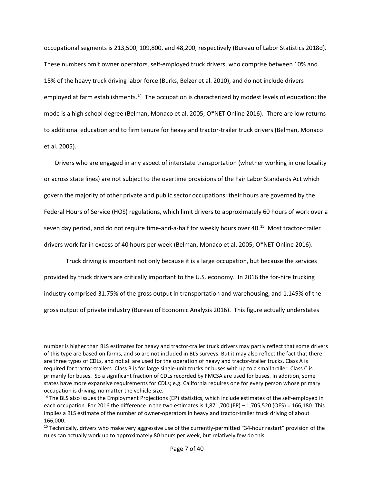occupational segments is 213,500, 109,800, and 48,200, respectively (Bureau of Labor Statistics 2018d). These numbers omit owner operators, self-employed truck drivers, who comprise between 10% and 15% of the heavy truck driving labor force (Burks, Belzer et al. 2010), and do not include drivers employed at farm establishments.<sup>[14](#page-7-0)</sup> The occupation is characterized by modest levels of education; the mode is a high school degree (Belman, Monaco et al. 2005; O\*NET Online 2016). There are low returns to additional education and to firm tenure for heavy and tractor-trailer truck drivers (Belman, Monaco et al. 2005).

Drivers who are engaged in any aspect of interstate transportation (whether working in one locality or across state lines) are not subject to the overtime provisions of the Fair Labor Standards Act which govern the majority of other private and public sector occupations; their hours are governed by the Federal Hours of Service (HOS) regulations, which limit drivers to approximately 60 hours of work over a seven day period, and do not require time-and-a-half for weekly hours over 40. [15](#page-7-1) Most tractor-trailer drivers work far in excess of 40 hours per week (Belman, Monaco et al. 2005; O\*NET Online 2016).

Truck driving is important not only because it is a large occupation, but because the services provided by truck drivers are critically important to the U.S. economy. In 2016 the for-hire trucking industry comprised 31.75% of the gross output in transportation and warehousing, and 1.149% of the gross output of private industry (Bureau of Economic Analysis 2016). This figure actually understates

number is higher than BLS estimates for heavy and tractor-trailer truck drivers may partly reflect that some drivers of this type are based on farms, and so are not included in BLS surveys. But it may also reflect the fact that there are three types of CDLs, and not all are used for the operation of heavy and tractor-trailer trucks. Class A is required for tractor-trailers. Class B is for large single-unit trucks or buses with up to a small trailer. Class C is primarily for buses. So a significant fraction of CDLs recorded by FMCSA are used for buses. In addition, some states have more expansive requirements for CDLs; e.g. California requires one for every person whose primary occupation is driving, no matter the vehicle size.

<span id="page-7-0"></span><sup>&</sup>lt;sup>14</sup> The BLS also issues the Employment Projections (EP) statistics, which include estimates of the self-employed in each occupation. For 2016 the difference in the two estimates is 1,871,700 (EP) – 1,705,520 (OES) = 166,180. This implies a BLS estimate of the number of owner-operators in heavy and tractor-trailer truck driving of about 166,000.

<span id="page-7-1"></span><sup>&</sup>lt;sup>15</sup> Technically, drivers who make very aggressive use of the currently-permitted "34-hour restart" provision of the rules can actually work up to approximately 80 hours per week, but relatively few do this.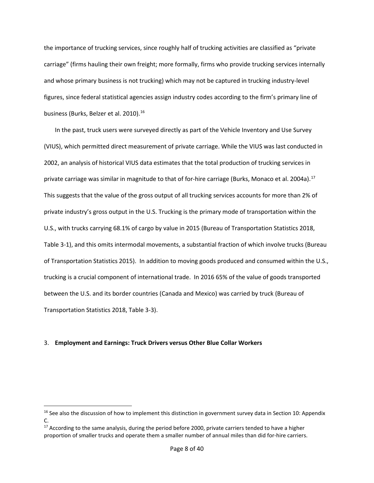the importance of trucking services, since roughly half of trucking activities are classified as "private carriage" (firms hauling their own freight; more formally, firms who provide trucking services internally and whose primary business is not trucking) which may not be captured in trucking industry-level figures, since federal statistical agencies assign industry codes according to the firm's primary line of business (Burks, Belzer et al. 2010). [16](#page-8-1) 

In the past, truck users were surveyed directly as part of the Vehicle Inventory and Use Survey (VIUS), which permitted direct measurement of private carriage. While the VIUS was last conducted in 2002, an analysis of historical VIUS data estimates that the total production of trucking services in private carriage was similar in magnitude to that of for-hire carriage (Burks, Monaco et al. 2004a). [17](#page-8-2) This suggests that the value of the gross output of all trucking services accounts for more than 2% of private industry's gross output in the U.S. Trucking is the primary mode of transportation within the U.S., with trucks carrying 68.1% of cargo by value in 2015 (Bureau of Transportation Statistics 2018, Table 3-1), and this omits intermodal movements, a substantial fraction of which involve trucks (Bureau of Transportation Statistics 2015). In addition to moving goods produced and consumed within the U.S., trucking is a crucial component of international trade. In 2016 65% of the value of goods transported between the U.S. and its border countries (Canada and Mexico) was carried by truck (Bureau of Transportation Statistics 2018, Table 3-3).

# <span id="page-8-0"></span>3. **Employment and Earnings: Truck Drivers versus Other Blue Collar Workers**

<span id="page-8-1"></span><sup>&</sup>lt;sup>16</sup> See also the discussion of how to implement this distinction in government survey data in Section 10: Appendix C.

<span id="page-8-2"></span><sup>&</sup>lt;sup>17</sup> According to the same analysis, during the period before 2000, private carriers tended to have a higher proportion of smaller trucks and operate them a smaller number of annual miles than did for-hire carriers.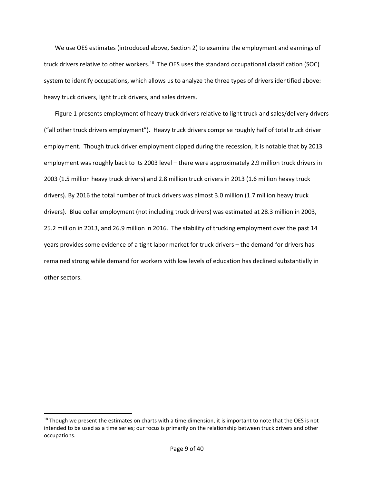We use OES estimates (introduced above, Section [2\)](#page-6-0) to examine the employment and earnings of truck drivers relative to other workers.<sup>[18](#page-9-0)</sup> The OES uses the standard occupational classification (SOC) system to identify occupations, which allows us to analyze the three types of drivers identified above: heavy truck drivers, light truck drivers, and sales drivers.

Figure 1 presents employment of heavy truck drivers relative to light truck and sales/delivery drivers ("all other truck drivers employment"). Heavy truck drivers comprise roughly half of total truck driver employment. Though truck driver employment dipped during the recession, it is notable that by 2013 employment was roughly back to its 2003 level – there were approximately 2.9 million truck drivers in 2003 (1.5 million heavy truck drivers) and 2.8 million truck drivers in 2013 (1.6 million heavy truck drivers). By 2016 the total number of truck drivers was almost 3.0 million (1.7 million heavy truck drivers). Blue collar employment (not including truck drivers) was estimated at 28.3 million in 2003, 25.2 million in 2013, and 26.9 million in 2016. The stability of trucking employment over the past 14 years provides some evidence of a tight labor market for truck drivers – the demand for drivers has remained strong while demand for workers with low levels of education has declined substantially in other sectors.

l

<span id="page-9-0"></span> $18$  Though we present the estimates on charts with a time dimension, it is important to note that the OES is not intended to be used as a time series; our focus is primarily on the relationship between truck drivers and other occupations.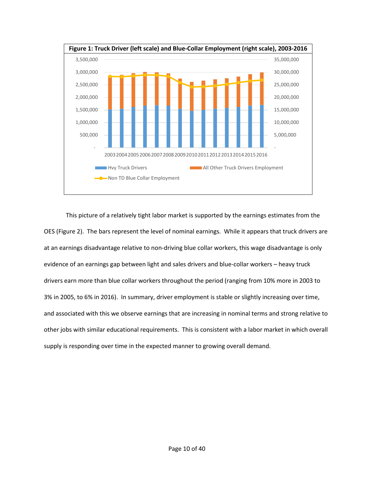

This picture of a relatively tight labor market is supported by the earnings estimates from the OES (Figure 2). The bars represent the level of nominal earnings. While it appears that truck drivers are at an earnings disadvantage relative to non-driving blue collar workers, this wage disadvantage is only evidence of an earnings gap between light and sales drivers and blue-collar workers – heavy truck drivers earn more than blue collar workers throughout the period (ranging from 10% more in 2003 to 3% in 2005, to 6% in 2016). In summary, driver employment is stable or slightly increasing over time, and associated with this we observe earnings that are increasing in nominal terms and strong relative to other jobs with similar educational requirements. This is consistent with a labor market in which overall supply is responding over time in the expected manner to growing overall demand.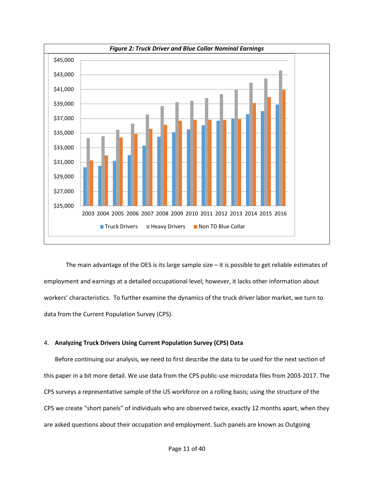

The main advantage of the OES is its large sample size – it is possible to get reliable estimates of employment and earnings at a detailed occupational level; however, it lacks other information about workers' characteristics. To further examine the dynamics of the truck driver labor market, we turn to data from the Current Population Survey (CPS).

### <span id="page-11-0"></span>4. **Analyzing Truck Drivers Using Current Population Survey (CPS) Data**

Before continuing our analysis, we need to first describe the data to be used for the next section of this paper in a bit more detail. We use data from the CPS public-use microdata files from 2003-2017. The CPS surveys a representative sample of the US workforce on a rolling basis; using the structure of the CPS we create "short panels" of individuals who are observed twice, exactly 12 months apart, when they are asked questions about their occupation and employment. Such panels are known as Outgoing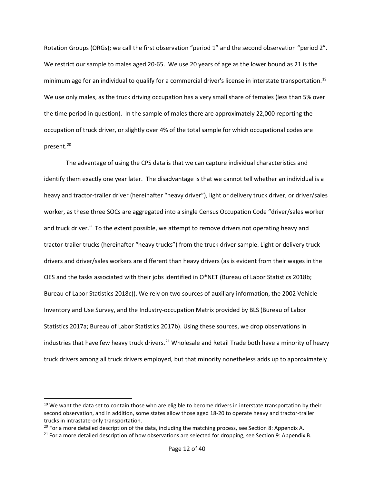Rotation Groups (ORGs); we call the first observation "period 1" and the second observation "period 2". We restrict our sample to males aged 20-65. We use 20 years of age as the lower bound as 21 is the minimum age for an individual to qualify for a commercial driver's license in interstate transportation. [19](#page-12-0) We use only males, as the truck driving occupation has a very small share of females (less than 5% over the time period in question). In the sample of males there are approximately 22,000 reporting the occupation of truck driver, or slightly over 4% of the total sample for which occupational codes are present. [20](#page-12-1)

The advantage of using the CPS data is that we can capture individual characteristics and identify them exactly one year later. The disadvantage is that we cannot tell whether an individual is a heavy and tractor-trailer driver (hereinafter "heavy driver"), light or delivery truck driver, or driver/sales worker, as these three SOCs are aggregated into a single Census Occupation Code "driver/sales worker and truck driver." To the extent possible, we attempt to remove drivers not operating heavy and tractor-trailer trucks (hereinafter "heavy trucks") from the truck driver sample. Light or delivery truck drivers and driver/sales workers are different than heavy drivers (as is evident from their wages in the OES and the tasks associated with their jobs identified in O\*NET (Bureau of Labor Statistics 2018b; Bureau of Labor Statistics 2018c)). We rely on two sources of auxiliary information, the 2002 Vehicle Inventory and Use Survey, and the Industry-occupation Matrix provided by BLS (Bureau of Labor Statistics 2017a; Bureau of Labor Statistics 2017b). Using these sources, we drop observations in industries that have few heavy truck drivers.<sup>[21](#page-12-2)</sup> Wholesale and Retail Trade both have a minority of heavy truck drivers among all truck drivers employed, but that minority nonetheless adds up to approximately

<span id="page-12-0"></span> $19$  We want the data set to contain those who are eligible to become drivers in interstate transportation by their second observation, and in addition, some states allow those aged 18-20 to operate heavy and tractor-trailer trucks in intrastate-only transportation.<br><sup>20</sup> For a more detailed description of the data, including the matching process, see Section [8:](#page-31-0) Appendix A.

<span id="page-12-1"></span>

<span id="page-12-2"></span> $21$  For a more detailed description of how observations are selected for dropping, see Sectio[n 9:](#page-33-0) Appendix B.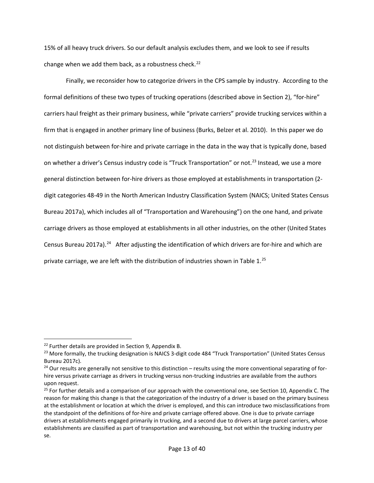15% of all heavy truck drivers. So our default analysis excludes them, and we look to see if results change when we add them back, as a robustness check.<sup>[22](#page-13-0)</sup>

Finally, we reconsider how to categorize drivers in the CPS sample by industry. According to the formal definitions of these two types of trucking operations (described above in Section [2\)](#page-6-0), "for-hire" carriers haul freight as their primary business, while "private carriers" provide trucking services within a firm that is engaged in another primary line of business (Burks, Belzer et al. 2010). In this paper we do not distinguish between for-hire and private carriage in the data in the way that is typically done, based on whether a driver's Census industry code is "Truck Transportation" or not.<sup>[23](#page-13-1)</sup> Instead, we use a more general distinction between for-hire drivers as those employed at establishments in transportation (2 digit categories 48-49 in the North American Industry Classification System (NAICS; United States Census Bureau 2017a), which includes all of "Transportation and Warehousing") on the one hand, and private carriage drivers as those employed at establishments in all other industries, on the other (United States Census Bureau 2017a).<sup>24</sup> After adjusting the identification of which drivers are for-hire and which are private carriage, we are left with the distribution of industries shown in [Table 1.](#page-14-1)<sup>25</sup>

<span id="page-13-1"></span><span id="page-13-0"></span><sup>&</sup>lt;sup>22</sup> Further details are provided in Section [9,](#page-33-0) Appendix B.<br><sup>23</sup> More formally, the trucking designation is NAICS 3-digit code 484 "Truck Transportation" (United States Census

<span id="page-13-2"></span>Bureau 2017c).<br><sup>24</sup> Our results are generally not sensitive to this distinction – results using the more conventional separating of forhire versus private carriage as drivers in trucking versus non-trucking industries are available from the authors upon request.

<span id="page-13-3"></span><sup>&</sup>lt;sup>25</sup> For further details and a comparison of our approach with the conventional one, see Sectio[n 10,](#page-35-0) Appendix C. The reason for making this change is that the categorization of the industry of a driver is based on the primary business at the establishment or location at which the driver is employed, and this can introduce two misclassifications from the standpoint of the definitions of for-hire and private carriage offered above. One is due to private carriage drivers at establishments engaged primarily in trucking, and a second due to drivers at large parcel carriers, whose establishments are classified as part of transportation and warehousing, but not within the trucking industry per se.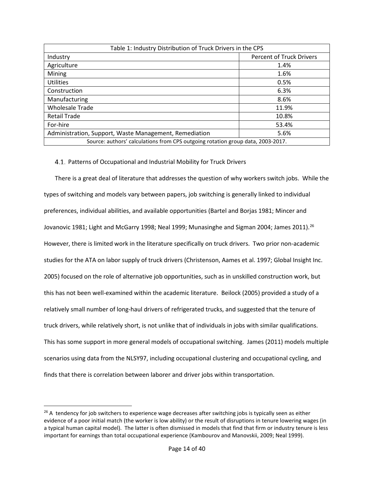<span id="page-14-1"></span>

| Table 1: Industry Distribution of Truck Drivers in the CPS                      |                                 |  |
|---------------------------------------------------------------------------------|---------------------------------|--|
| Industry                                                                        | <b>Percent of Truck Drivers</b> |  |
| Agriculture                                                                     | 1.4%                            |  |
| Mining                                                                          | 1.6%                            |  |
| <b>Utilities</b>                                                                | 0.5%                            |  |
| Construction                                                                    | 6.3%                            |  |
| Manufacturing                                                                   | 8.6%                            |  |
| <b>Wholesale Trade</b>                                                          | 11.9%                           |  |
| <b>Retail Trade</b>                                                             | 10.8%                           |  |
| For-hire                                                                        | 53.4%                           |  |
| Administration, Support, Waste Management, Remediation                          | 5.6%                            |  |
| Source: authors' calculations from CPS outgoing rotation group data, 2003-2017. |                                 |  |

# <span id="page-14-0"></span>4.1. Patterns of Occupational and Industrial Mobility for Truck Drivers

There is a great deal of literature that addresses the question of why workers switch jobs. While the types of switching and models vary between papers, job switching is generally linked to individual preferences, individual abilities, and available opportunities (Bartel and Borjas 1981; Mincer and Jovanovic 1981; Light and McGarry 1998; Neal 1999; Munasinghe and Sigman 2004; James 2011).<sup>[26](#page-14-2)</sup> However, there is limited work in the literature specifically on truck drivers. Two prior non-academic studies for the ATA on labor supply of truck drivers (Christenson, Aames et al. 1997; Global Insight Inc. 2005) focused on the role of alternative job opportunities, such as in unskilled construction work, but this has not been well-examined within the academic literature. Beilock (2005) provided a study of a relatively small number of long-haul drivers of refrigerated trucks, and suggested that the tenure of truck drivers, while relatively short, is not unlike that of individuals in jobs with similar qualifications. This has some support in more general models of occupational switching. James (2011) models multiple scenarios using data from the NLSY97, including occupational clustering and occupational cycling, and finds that there is correlation between laborer and driver jobs within transportation.

<span id="page-14-2"></span> $26$  A tendency for job switchers to experience wage decreases after switching jobs is typically seen as either evidence of a poor initial match (the worker is low ability) or the result of disruptions in tenure lowering wages (in a typical human capital model). The latter is often dismissed in models that find that firm or industry tenure is less important for earnings than total occupational experience (Kambourov and Manovskii, 2009; Neal 1999).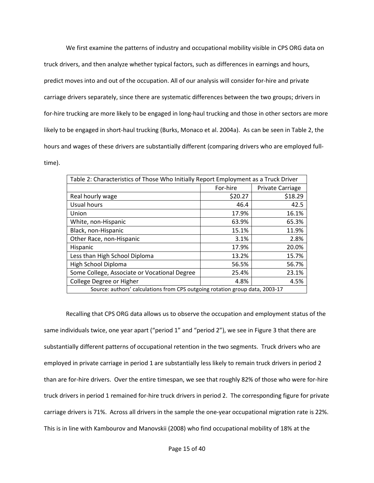We first examine the patterns of industry and occupational mobility visible in CPS ORG data on truck drivers, and then analyze whether typical factors, such as differences in earnings and hours, predict moves into and out of the occupation. All of our analysis will consider for-hire and private carriage drivers separately, since there are systematic differences between the two groups; drivers in for-hire trucking are more likely to be engaged in long-haul trucking and those in other sectors are more likely to be engaged in short-haul trucking (Burks, Monaco et al. 2004a). As can be seen in [Table 2](#page-15-0), the hours and wages of these drivers are substantially different (comparing drivers who are employed fulltime).

<span id="page-15-0"></span>

| Table 2: Characteristics of Those Who Initially Report Employment as a Truck Driver |          |                  |
|-------------------------------------------------------------------------------------|----------|------------------|
|                                                                                     | For-hire | Private Carriage |
| Real hourly wage                                                                    | \$20.27  | \$18.29          |
| <b>Usual hours</b>                                                                  | 46.4     | 42.5             |
| Union                                                                               | 17.9%    | 16.1%            |
| White, non-Hispanic                                                                 | 63.9%    | 65.3%            |
| Black, non-Hispanic                                                                 | 15.1%    | 11.9%            |
| Other Race, non-Hispanic                                                            | 3.1%     | 2.8%             |
| Hispanic                                                                            | 17.9%    | 20.0%            |
| Less than High School Diploma                                                       | 13.2%    | 15.7%            |
| High School Diploma                                                                 | 56.5%    | 56.7%            |
| Some College, Associate or Vocational Degree                                        | 25.4%    | 23.1%            |
| College Degree or Higher                                                            | 4.8%     | 4.5%             |
| Source: authors' calculations from CPS outgoing rotation group data, 2003-17        |          |                  |

Recalling that CPS ORG data allows us to observe the occupation and employment status of the same individuals twice, one year apart ("period 1" and "period 2"), we see in [Figure 3](#page-17-0) that there are substantially different patterns of occupational retention in the two segments. Truck drivers who are employed in private carriage in period 1 are substantially less likely to remain truck drivers in period 2 than are for-hire drivers. Over the entire timespan, we see that roughly 82% of those who were for-hire truck drivers in period 1 remained for-hire truck drivers in period 2. The corresponding figure for private carriage drivers is 71%. Across all drivers in the sample the one-year occupational migration rate is 22%. This is in line with Kambourov and Manovskii (2008) who find occupational mobility of 18% at the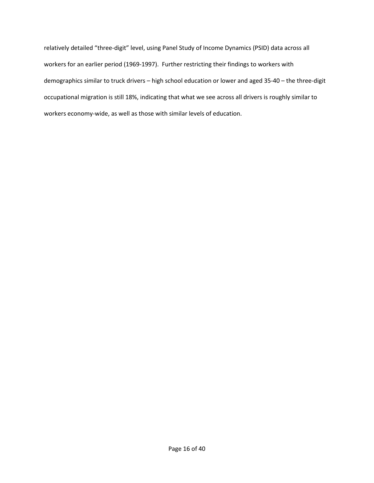relatively detailed "three-digit" level, using Panel Study of Income Dynamics (PSID) data across all workers for an earlier period (1969-1997). Further restricting their findings to workers with demographics similar to truck drivers – high school education or lower and aged 35-40 – the three-digit occupational migration is still 18%, indicating that what we see across all drivers is roughly similar to workers economy-wide, as well as those with similar levels of education.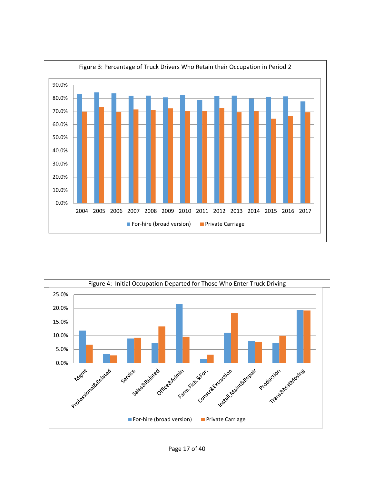<span id="page-17-0"></span>

<span id="page-17-1"></span>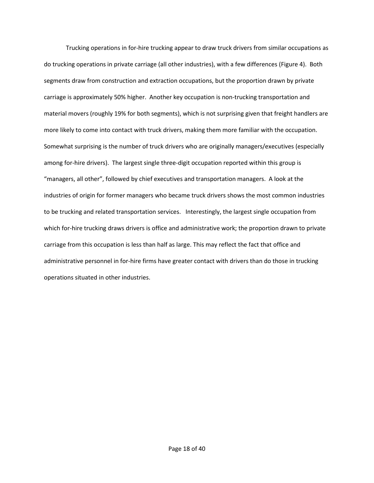Trucking operations in for-hire trucking appear to draw truck drivers from similar occupations as do trucking operations in private carriage (all other industries), with a few differences [\(Figure 4\)](#page-17-1). Both segments draw from construction and extraction occupations, but the proportion drawn by private carriage is approximately 50% higher. Another key occupation is non-trucking transportation and material movers (roughly 19% for both segments), which is not surprising given that freight handlers are more likely to come into contact with truck drivers, making them more familiar with the occupation. Somewhat surprising is the number of truck drivers who are originally managers/executives (especially among for-hire drivers). The largest single three-digit occupation reported within this group is "managers, all other", followed by chief executives and transportation managers. A look at the industries of origin for former managers who became truck drivers shows the most common industries to be trucking and related transportation services. Interestingly, the largest single occupation from which for-hire trucking draws drivers is office and administrative work; the proportion drawn to private carriage from this occupation is less than half as large. This may reflect the fact that office and administrative personnel in for-hire firms have greater contact with drivers than do those in trucking operations situated in other industries.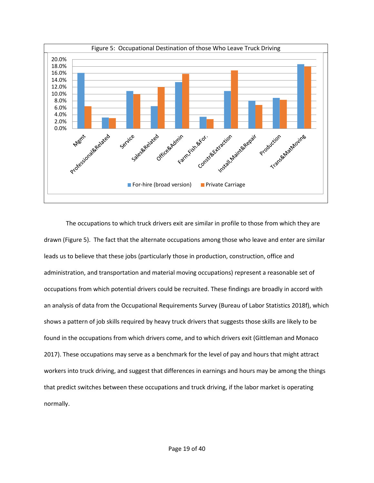<span id="page-19-0"></span>

The occupations to which truck drivers exit are similar in profile to those from which they are drawn [\(Figure 5\)](#page-19-0). The fact that the alternate occupations among those who leave and enter are similar leads us to believe that these jobs (particularly those in production, construction, office and administration, and transportation and material moving occupations) represent a reasonable set of occupations from which potential drivers could be recruited. These findings are broadly in accord with an analysis of data from the Occupational Requirements Survey (Bureau of Labor Statistics 2018f), which shows a pattern of job skills required by heavy truck drivers that suggests those skills are likely to be found in the occupations from which drivers come, and to which drivers exit (Gittleman and Monaco 2017). These occupations may serve as a benchmark for the level of pay and hours that might attract workers into truck driving, and suggest that differences in earnings and hours may be among the things that predict switches between these occupations and truck driving, if the labor market is operating normally.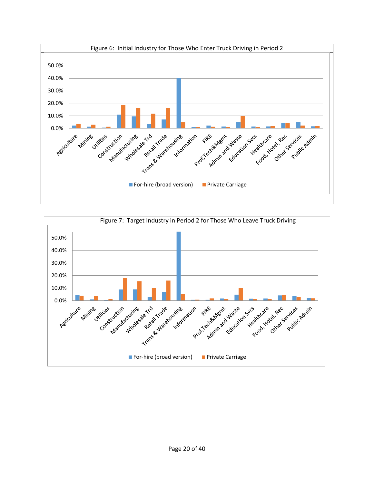<span id="page-20-0"></span>

<span id="page-20-1"></span>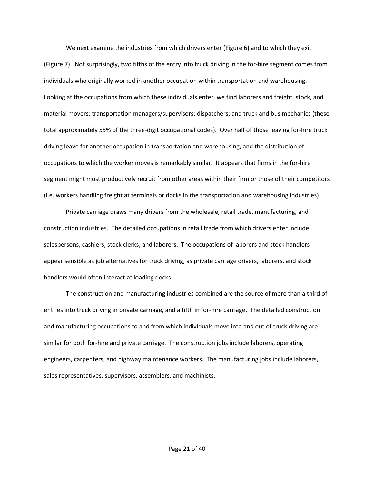We next examine the industries from which drivers enter [\(Figure 6\)](#page-20-0) and to which they exit [\(Figure 7\)](#page-20-1). Not surprisingly, two fifths of the entry into truck driving in the for-hire segment comes from individuals who originally worked in another occupation within transportation and warehousing. Looking at the occupations from which these individuals enter, we find laborers and freight, stock, and material movers; transportation managers/supervisors; dispatchers; and truck and bus mechanics (these total approximately 55% of the three-digit occupational codes). Over half of those leaving for-hire truck driving leave for another occupation in transportation and warehousing, and the distribution of occupations to which the worker moves is remarkably similar. It appears that firms in the for-hire segment might most productively recruit from other areas within their firm or those of their competitors (i.e. workers handling freight at terminals or docks in the transportation and warehousing industries).

Private carriage draws many drivers from the wholesale, retail trade, manufacturing, and construction industries. The detailed occupations in retail trade from which drivers enter include salespersons, cashiers, stock clerks, and laborers. The occupations of laborers and stock handlers appear sensible as job alternatives for truck driving, as private carriage drivers, laborers, and stock handlers would often interact at loading docks.

The construction and manufacturing industries combined are the source of more than a third of entries into truck driving in private carriage, and a fifth in for-hire carriage. The detailed construction and manufacturing occupations to and from which individuals move into and out of truck driving are similar for both for-hire and private carriage. The construction jobs include laborers, operating engineers, carpenters, and highway maintenance workers. The manufacturing jobs include laborers, sales representatives, supervisors, assemblers, and machinists.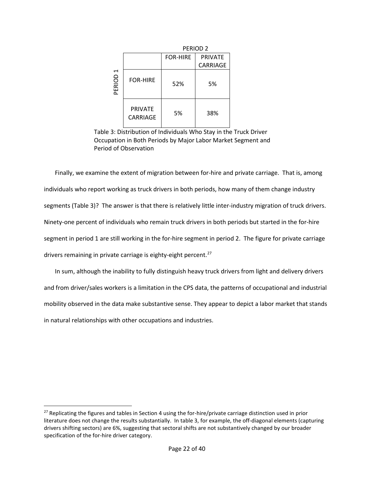|                     |                            |                 | PERIOD <sub>2</sub> |
|---------------------|----------------------------|-----------------|---------------------|
|                     |                            | <b>FOR-HIRE</b> | <b>PRIVATE</b>      |
|                     |                            |                 | CARRIAGE            |
| PERIOD <sub>1</sub> | <b>FOR-HIRE</b>            | 52%             | 5%                  |
|                     | <b>PRIVATE</b><br>CARRIAGF | 5%              | 38%                 |

<span id="page-22-0"></span>Table 3: Distribution of Individuals Who Stay in the Truck Driver Occupation in Both Periods by Major Labor Market Segment and Period of Observation

Finally, we examine the extent of migration between for-hire and private carriage. That is, among individuals who report working as truck drivers in both periods, how many of them change industry segments [\(Table 3](#page-22-0))? The answer is that there is relatively little inter-industry migration of truck drivers. Ninety-one percent of individuals who remain truck drivers in both periods but started in the for-hire segment in period 1 are still working in the for-hire segment in period 2. The figure for private carriage drivers remaining in private carriage is eighty-eight percent.<sup>[27](#page-22-1)</sup>

In sum, although the inability to fully distinguish heavy truck drivers from light and delivery drivers and from driver/sales workers is a limitation in the CPS data, the patterns of occupational and industrial mobility observed in the data make substantive sense. They appear to depict a labor market that stands in natural relationships with other occupations and industries.

<span id="page-22-1"></span> $27$  Replicating the figures and tables in Section 4 using the for-hire/private carriage distinction used in prior literature does not change the results substantially. In table 3, for example, the off-diagonal elements (capturing drivers shifting sectors) are 6%, suggesting that sectoral shifts are not substantively changed by our broader specification of the for-hire driver category.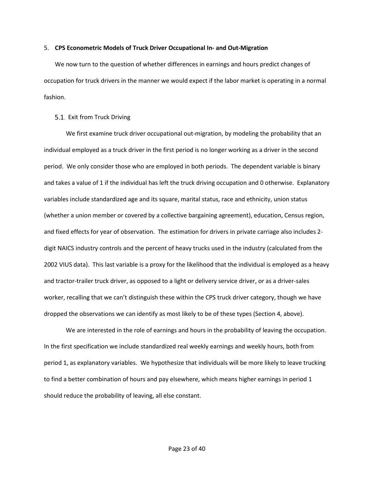#### <span id="page-23-0"></span>5. **CPS Econometric Models of Truck Driver Occupational In- and Out-Migration**

We now turn to the question of whether differences in earnings and hours predict changes of occupation for truck drivers in the manner we would expect if the labor market is operating in a normal fashion.

### <span id="page-23-1"></span>5.1. Exit from Truck Driving

We first examine truck driver occupational out-migration, by modeling the probability that an individual employed as a truck driver in the first period is no longer working as a driver in the second period. We only consider those who are employed in both periods. The dependent variable is binary and takes a value of 1 if the individual has left the truck driving occupation and 0 otherwise. Explanatory variables include standardized age and its square, marital status, race and ethnicity, union status (whether a union member or covered by a collective bargaining agreement), education, Census region, and fixed effects for year of observation. The estimation for drivers in private carriage also includes 2 digit NAICS industry controls and the percent of heavy trucks used in the industry (calculated from the 2002 VIUS data). This last variable is a proxy for the likelihood that the individual is employed as a heavy and tractor-trailer truck driver, as opposed to a light or delivery service driver, or as a driver-sales worker, recalling that we can't distinguish these within the CPS truck driver category, though we have dropped the observations we can identify as most likely to be of these types (Section [4,](#page-11-0) above).

We are interested in the role of earnings and hours in the probability of leaving the occupation. In the first specification we include standardized real weekly earnings and weekly hours, both from period 1, as explanatory variables. We hypothesize that individuals will be more likely to leave trucking to find a better combination of hours and pay elsewhere, which means higher earnings in period 1 should reduce the probability of leaving, all else constant.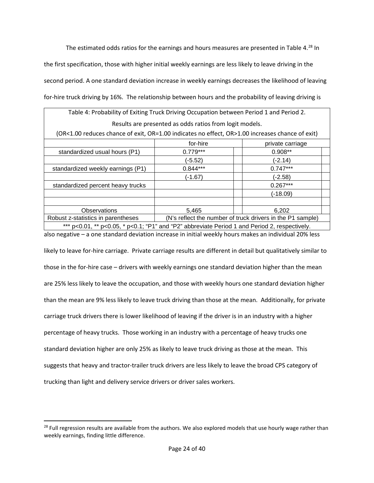The estimated odds ratios for the earnings and hours measures are presented in [Table 4](#page-24-0).<sup>[28](#page-24-1)</sup> In the first specification, those with higher initial weekly earnings are less likely to leave driving in the second period. A one standard deviation increase in weekly earnings decreases the likelihood of leaving for-hire truck driving by 16%. The relationship between hours and the probability of leaving driving is

<span id="page-24-0"></span>

| Table 4: Probability of Exiting Truck Driving Occupation between Period 1 and Period 2.                |            |                  |  |
|--------------------------------------------------------------------------------------------------------|------------|------------------|--|
| Results are presented as odds ratios from logit models.                                                |            |                  |  |
| (OR<1.00 reduces chance of exit, OR=1.00 indicates no effect, OR>1.00 increases chance of exit)        |            |                  |  |
|                                                                                                        | for-hire   | private carriage |  |
| standardized usual hours (P1)                                                                          | $0.779***$ | $0.908**$        |  |
|                                                                                                        | (-5.52)    | (-2.14)          |  |
| standardized weekly earnings (P1)                                                                      | $0.844***$ | $0.747***$       |  |
|                                                                                                        | (-1.67)    | (-2.58)          |  |
| standardized percent heavy trucks                                                                      |            | $0.267***$       |  |
|                                                                                                        |            | $(-18.09)$       |  |
|                                                                                                        |            |                  |  |
| <b>Observations</b>                                                                                    | 5,465      | 6,202            |  |
| (N's reflect the number of truck drivers in the P1 sample)<br>Robust z-statistics in parentheses       |            |                  |  |
| *** $p<0.01$ , ** $p<0.05$ , * $p<0.1$ ; "P1" and "P2" abbreviate Period 1 and Period 2, respectively. |            |                  |  |

also negative – a one standard deviation increase in initial weekly hours makes an individual 20% less likely to leave for-hire carriage. Private carriage results are different in detail but qualitatively similar to those in the for-hire case – drivers with weekly earnings one standard deviation higher than the mean are 25% less likely to leave the occupation, and those with weekly hours one standard deviation higher than the mean are 9% less likely to leave truck driving than those at the mean. Additionally, for private carriage truck drivers there is lower likelihood of leaving if the driver is in an industry with a higher percentage of heavy trucks. Those working in an industry with a percentage of heavy trucks one standard deviation higher are only 25% as likely to leave truck driving as those at the mean. This suggests that heavy and tractor-trailer truck drivers are less likely to leave the broad CPS category of trucking than light and delivery service drivers or driver sales workers.

<span id="page-24-1"></span> $28$  Full regression results are available from the authors. We also explored models that use hourly wage rather than weekly earnings, finding little difference.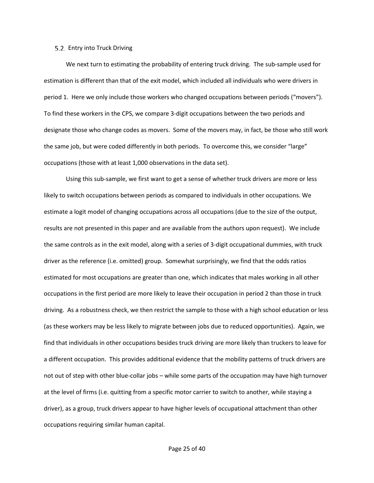#### <span id="page-25-0"></span>5.2. Entry into Truck Driving

We next turn to estimating the probability of entering truck driving. The sub-sample used for estimation is different than that of the exit model, which included all individuals who were drivers in period 1. Here we only include those workers who changed occupations between periods ("movers"). To find these workers in the CPS, we compare 3-digit occupations between the two periods and designate those who change codes as movers. Some of the movers may, in fact, be those who still work the same job, but were coded differently in both periods. To overcome this, we consider "large" occupations (those with at least 1,000 observations in the data set).

Using this sub-sample, we first want to get a sense of whether truck drivers are more or less likely to switch occupations between periods as compared to individuals in other occupations. We estimate a logit model of changing occupations across all occupations (due to the size of the output, results are not presented in this paper and are available from the authors upon request). We include the same controls as in the exit model, along with a series of 3-digit occupational dummies, with truck driver as the reference (i.e. omitted) group. Somewhat surprisingly, we find that the odds ratios estimated for most occupations are greater than one, which indicates that males working in all other occupations in the first period are more likely to leave their occupation in period 2 than those in truck driving. As a robustness check, we then restrict the sample to those with a high school education or less (as these workers may be less likely to migrate between jobs due to reduced opportunities). Again, we find that individuals in other occupations besides truck driving are more likely than truckers to leave for a different occupation. This provides additional evidence that the mobility patterns of truck drivers are not out of step with other blue-collar jobs – while some parts of the occupation may have high turnover at the level of firms (i.e. quitting from a specific motor carrier to switch to another, while staying a driver), as a group, truck drivers appear to have higher levels of occupational attachment than other occupations requiring similar human capital.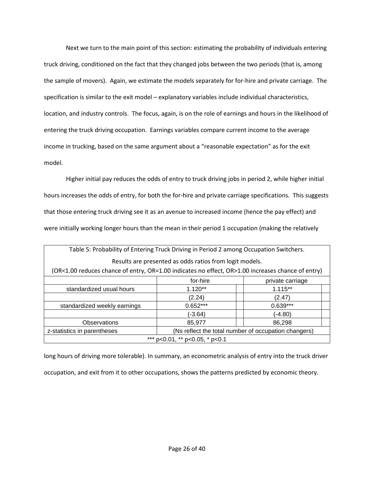Next we turn to the main point of this section: estimating the probability of individuals entering truck driving, conditioned on the fact that they changed jobs between the two periods (that is, among the sample of movers). Again, we estimate the models separately for for-hire and private carriage. The specification is similar to the exit model – explanatory variables include individual characteristics, location, and industry controls. The focus, again, is on the role of earnings and hours in the likelihood of entering the truck driving occupation. Earnings variables compare current income to the average income in trucking, based on the same argument about a "reasonable expectation" as for the exit model.

Higher initial pay reduces the odds of entry to truck driving jobs in period 2, while higher initial hours increases the odds of entry, for both the for-hire and private carriage specifications. This suggests that those entering truck driving see it as an avenue to increased income (hence the pay effect) and were initially working longer hours than the mean in their period 1 occupation (making the relatively

| Table 5: Probability of Entering Truck Driving in Period 2 among Occupation Switchers.            |            |                  |  |
|---------------------------------------------------------------------------------------------------|------------|------------------|--|
| Results are presented as odds ratios from logit models.                                           |            |                  |  |
| (OR<1.00 reduces chance of entry, OR=1.00 indicates no effect, OR>1.00 increases chance of entry) |            |                  |  |
|                                                                                                   | for-hire   | private carriage |  |
| standardized usual hours                                                                          | $1.120**$  | $1.115**$        |  |
|                                                                                                   | (2.24)     | (2.47)           |  |
| standardized weekly earnings                                                                      | $0.652***$ | $0.639***$       |  |
|                                                                                                   | (-3.64)    | (-4.80)          |  |
| <b>Observations</b>                                                                               | 85,977     | 86,298           |  |
| (Ns reflect the total number of occupation changers)<br>z-statistics in parentheses               |            |                  |  |
| *** p<0.01, ** p<0.05, * p<0.1                                                                    |            |                  |  |

long hours of driving more tolerable). In summary, an econometric analysis of entry into the truck driver occupation, and exit from it to other occupations, shows the patterns predicted by economic theory.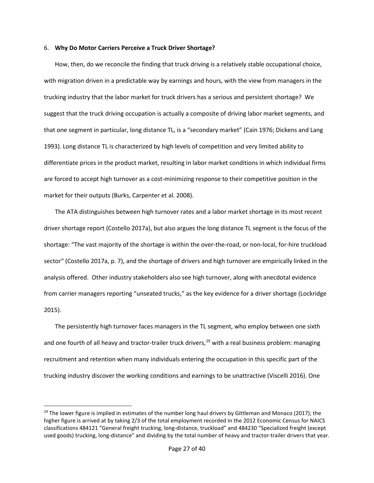#### <span id="page-27-0"></span>6. **Why Do Motor Carriers Perceive a Truck Driver Shortage?**

How, then, do we reconcile the finding that truck driving is a relatively stable occupational choice, with migration driven in a predictable way by earnings and hours, with the view from managers in the trucking industry that the labor market for truck drivers has a serious and persistent shortage? We suggest that the truck driving occupation is actually a composite of driving labor market segments, and that one segment in particular, long distance TL, is a "secondary market" (Cain 1976; Dickens and Lang 1993). Long distance TL is characterized by high levels of competition and very limited ability to differentiate prices in the product market, resulting in labor market conditions in which individual firms are forced to accept high turnover as a cost-minimizing response to their competitive position in the market for their outputs (Burks, Carpenter et al. 2008).

The ATA distinguishes between high turnover rates and a labor market shortage in its most recent driver shortage report (Costello 2017a), but also argues the long distance TL segment is the focus of the shortage: "The vast majority of the shortage is within the over-the-road, or non-local, for-hire truckload sector" (Costello 2017a, p. 7), and the shortage of drivers and high turnover are empirically linked in the analysis offered. Other industry stakeholders also see high turnover, along with anecdotal evidence from carrier managers reporting "unseated trucks," as the key evidence for a driver shortage (Lockridge 2015).

The persistently high turnover faces managers in the TL segment, who employ between one sixth and one fourth of all heavy and tractor-trailer truck drivers,<sup>29</sup> with a real business problem: managing recruitment and retention when many individuals entering the occupation in this specific part of the trucking industry discover the working conditions and earnings to be unattractive (Viscelli 2016). One

<span id="page-27-1"></span><sup>&</sup>lt;sup>29</sup> The lower figure is implied in estimates of the number long haul drivers by Gittleman and Monaco (2017); the higher figure is arrived at by taking 2/3 of the total employment recorded in the 2012 Economic Census for NAICS classifications 484121 "General freight trucking, long-distance, truckload" and 484230 "Specialized freight (except used goods) trucking, long-distance" and dividing by the total number of heavy and tractor-trailer drivers that year.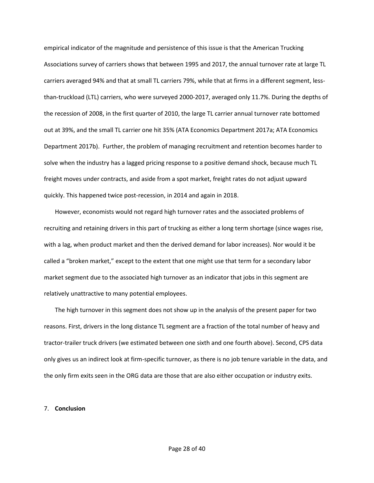empirical indicator of the magnitude and persistence of this issue is that the American Trucking Associations survey of carriers shows that between 1995 and 2017, the annual turnover rate at large TL carriers averaged 94% and that at small TL carriers 79%, while that at firms in a different segment, lessthan-truckload (LTL) carriers, who were surveyed 2000-2017, averaged only 11.7%. During the depths of the recession of 2008, in the first quarter of 2010, the large TL carrier annual turnover rate bottomed out at 39%, and the small TL carrier one hit 35% (ATA Economics Department 2017a; ATA Economics Department 2017b). Further, the problem of managing recruitment and retention becomes harder to solve when the industry has a lagged pricing response to a positive demand shock, because much TL freight moves under contracts, and aside from a spot market, freight rates do not adjust upward quickly. This happened twice post-recession, in 2014 and again in 2018.

However, economists would not regard high turnover rates and the associated problems of recruiting and retaining drivers in this part of trucking as either a long term shortage (since wages rise, with a lag, when product market and then the derived demand for labor increases). Nor would it be called a "broken market," except to the extent that one might use that term for a secondary labor market segment due to the associated high turnover as an indicator that jobs in this segment are relatively unattractive to many potential employees.

The high turnover in this segment does not show up in the analysis of the present paper for two reasons. First, drivers in the long distance TL segment are a fraction of the total number of heavy and tractor-trailer truck drivers (we estimated between one sixth and one fourth above). Second, CPS data only gives us an indirect look at firm-specific turnover, as there is no job tenure variable in the data, and the only firm exits seen in the ORG data are those that are also either occupation or industry exits.

#### <span id="page-28-0"></span>7. **Conclusion**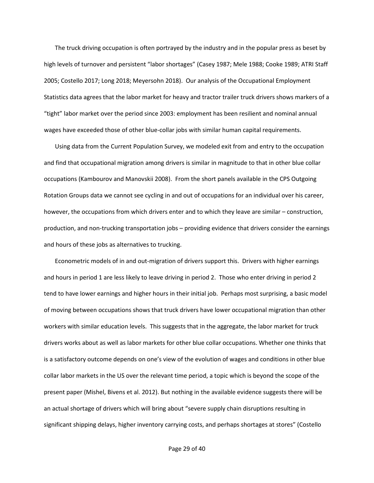The truck driving occupation is often portrayed by the industry and in the popular press as beset by high levels of turnover and persistent "labor shortages" (Casey 1987; Mele 1988; Cooke 1989; ATRI Staff 2005; Costello 2017; Long 2018; Meyersohn 2018). Our analysis of the Occupational Employment Statistics data agrees that the labor market for heavy and tractor trailer truck drivers shows markers of a "tight" labor market over the period since 2003: employment has been resilient and nominal annual wages have exceeded those of other blue-collar jobs with similar human capital requirements.

Using data from the Current Population Survey, we modeled exit from and entry to the occupation and find that occupational migration among drivers is similar in magnitude to that in other blue collar occupations (Kambourov and Manovskii 2008). From the short panels available in the CPS Outgoing Rotation Groups data we cannot see cycling in and out of occupations for an individual over his career, however, the occupations from which drivers enter and to which they leave are similar – construction, production, and non-trucking transportation jobs – providing evidence that drivers consider the earnings and hours of these jobs as alternatives to trucking.

Econometric models of in and out-migration of drivers support this. Drivers with higher earnings and hours in period 1 are less likely to leave driving in period 2. Those who enter driving in period 2 tend to have lower earnings and higher hours in their initial job. Perhaps most surprising, a basic model of moving between occupations shows that truck drivers have lower occupational migration than other workers with similar education levels. This suggests that in the aggregate, the labor market for truck drivers works about as well as labor markets for other blue collar occupations. Whether one thinks that is a satisfactory outcome depends on one's view of the evolution of wages and conditions in other blue collar labor markets in the US over the relevant time period, a topic which is beyond the scope of the present paper (Mishel, Bivens et al. 2012). But nothing in the available evidence suggests there will be an actual shortage of drivers which will bring about "severe supply chain disruptions resulting in significant shipping delays, higher inventory carrying costs, and perhaps shortages at stores" (Costello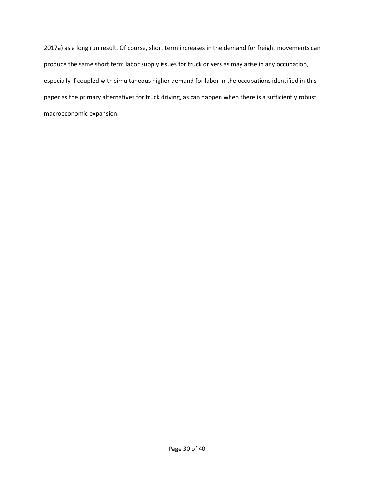2017a) as a long run result. Of course, short term increases in the demand for freight movements can produce the same short term labor supply issues for truck drivers as may arise in any occupation, especially if coupled with simultaneous higher demand for labor in the occupations identified in this paper as the primary alternatives for truck driving, as can happen when there is a sufficiently robust macroeconomic expansion.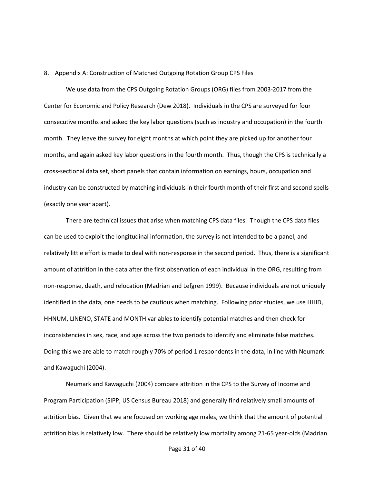#### <span id="page-31-0"></span>8. Appendix A: Construction of Matched Outgoing Rotation Group CPS Files

We use data from the CPS Outgoing Rotation Groups (ORG) files from 2003-2017 from the Center for Economic and Policy Research (Dew 2018). Individuals in the CPS are surveyed for four consecutive months and asked the key labor questions (such as industry and occupation) in the fourth month. They leave the survey for eight months at which point they are picked up for another four months, and again asked key labor questions in the fourth month. Thus, though the CPS is technically a cross-sectional data set, short panels that contain information on earnings, hours, occupation and industry can be constructed by matching individuals in their fourth month of their first and second spells (exactly one year apart).

There are technical issues that arise when matching CPS data files. Though the CPS data files can be used to exploit the longitudinal information, the survey is not intended to be a panel, and relatively little effort is made to deal with non-response in the second period. Thus, there is a significant amount of attrition in the data after the first observation of each individual in the ORG, resulting from non-response, death, and relocation (Madrian and Lefgren 1999). Because individuals are not uniquely identified in the data, one needs to be cautious when matching. Following prior studies, we use HHID, HHNUM, LINENO, STATE and MONTH variables to identify potential matches and then check for inconsistencies in sex, race, and age across the two periods to identify and eliminate false matches. Doing this we are able to match roughly 70% of period 1 respondents in the data, in line with Neumark and Kawaguchi (2004).

Neumark and Kawaguchi (2004) compare attrition in the CPS to the Survey of Income and Program Participation (SIPP; US Census Bureau 2018) and generally find relatively small amounts of attrition bias. Given that we are focused on working age males, we think that the amount of potential attrition bias is relatively low. There should be relatively low mortality among 21-65 year-olds (Madrian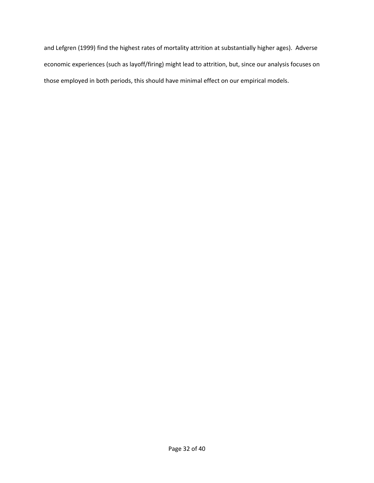and Lefgren (1999) find the highest rates of mortality attrition at substantially higher ages). Adverse economic experiences (such as layoff/firing) might lead to attrition, but, since our analysis focuses on those employed in both periods, this should have minimal effect on our empirical models.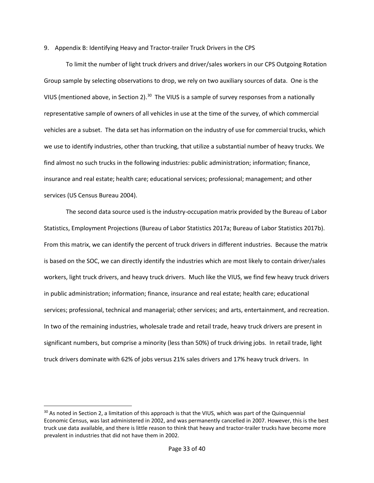#### <span id="page-33-0"></span>9. Appendix B: Identifying Heavy and Tractor-trailer Truck Drivers in the CPS

To limit the number of light truck drivers and driver/sales workers in our CPS Outgoing Rotation Group sample by selecting observations to drop, we rely on two auxiliary sources of data. One is the VIUS (mentioned above, in Section [2\)](#page-6-0).<sup>30</sup> The VIUS is a sample of survey responses from a nationally representative sample of owners of all vehicles in use at the time of the survey, of which commercial vehicles are a subset. The data set has information on the industry of use for commercial trucks, which we use to identify industries, other than trucking, that utilize a substantial number of heavy trucks. We find almost no such trucks in the following industries: public administration; information; finance, insurance and real estate; health care; educational services; professional; management; and other services (US Census Bureau 2004).

The second data source used is the industry-occupation matrix provided by the Bureau of Labor Statistics, Employment Projections (Bureau of Labor Statistics 2017a; Bureau of Labor Statistics 2017b). From this matrix, we can identify the percent of truck drivers in different industries. Because the matrix is based on the SOC, we can directly identify the industries which are most likely to contain driver/sales workers, light truck drivers, and heavy truck drivers. Much like the VIUS, we find few heavy truck drivers in public administration; information; finance, insurance and real estate; health care; educational services; professional, technical and managerial; other services; and arts, entertainment, and recreation. In two of the remaining industries, wholesale trade and retail trade, heavy truck drivers are present in significant numbers, but comprise a minority (less than 50%) of truck driving jobs. In retail trade, light truck drivers dominate with 62% of jobs versus 21% sales drivers and 17% heavy truck drivers. In

<span id="page-33-1"></span><sup>&</sup>lt;sup>30</sup> As noted in Section [2,](#page-6-0) a limitation of this approach is that the VIUS, which was part of the Quinquennial Economic Census, was last administered in 2002, and was permanently cancelled in 2007. However, this is the best truck use data available, and there is little reason to think that heavy and tractor-trailer trucks have become more prevalent in industries that did not have them in 2002.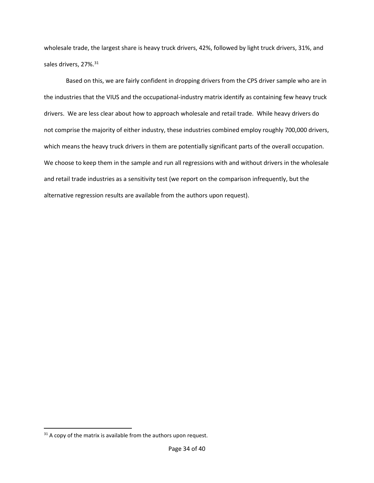wholesale trade, the largest share is heavy truck drivers, 42%, followed by light truck drivers, 31%, and sales drivers, 27%.<sup>[31](#page-34-0)</sup>

Based on this, we are fairly confident in dropping drivers from the CPS driver sample who are in the industries that the VIUS and the occupational-industry matrix identify as containing few heavy truck drivers. We are less clear about how to approach wholesale and retail trade. While heavy drivers do not comprise the majority of either industry, these industries combined employ roughly 700,000 drivers, which means the heavy truck drivers in them are potentially significant parts of the overall occupation. We choose to keep them in the sample and run all regressions with and without drivers in the wholesale and retail trade industries as a sensitivity test (we report on the comparison infrequently, but the alternative regression results are available from the authors upon request).

l

<span id="page-34-0"></span> $31$  A copy of the matrix is available from the authors upon request.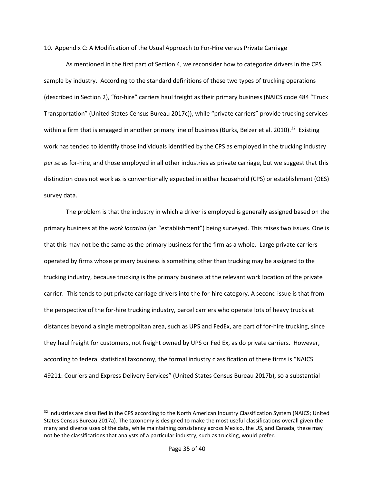<span id="page-35-0"></span>10. Appendix C: A Modification of the Usual Approach to For-Hire versus Private Carriage

As mentioned in the first part of Section [4,](#page-11-0) we reconsider how to categorize drivers in the CPS sample by industry. According to the standard definitions of these two types of trucking operations (described in Sectio[n 2\)](#page-6-0), "for-hire" carriers haul freight as their primary business (NAICS code 484 "Truck Transportation" (United States Census Bureau 2017c)), while "private carriers" provide trucking services within a firm that is engaged in another primary line of business (Burks, Belzer et al. 2010).<sup>32</sup> Existing work has tended to identify those individuals identified by the CPS as employed in the trucking industry *per se* as for-hire, and those employed in all other industries as private carriage, but we suggest that this distinction does not work as is conventionally expected in either household (CPS) or establishment (OES) survey data.

The problem is that the industry in which a driver is employed is generally assigned based on the primary business at the *work location* (an "establishment") being surveyed. This raises two issues. One is that this may not be the same as the primary business for the firm as a whole. Large private carriers operated by firms whose primary business is something other than trucking may be assigned to the trucking industry, because trucking is the primary business at the relevant work location of the private carrier. This tends to put private carriage drivers into the for-hire category. A second issue is that from the perspective of the for-hire trucking industry, parcel carriers who operate lots of heavy trucks at distances beyond a single metropolitan area, such as UPS and FedEx, are part of for-hire trucking, since they haul freight for customers, not freight owned by UPS or Fed Ex, as do private carriers. However, according to federal statistical taxonomy, the formal industry classification of these firms is "NAICS 49211: Couriers and Express Delivery Services" (United States Census Bureau 2017b), so a substantial

<span id="page-35-1"></span><sup>32</sup> Industries are classified in the CPS according to the North American Industry Classification System (NAICS; United States Census Bureau 2017a). The taxonomy is designed to make the most useful classifications overall given the many and diverse uses of the data, while maintaining consistency across Mexico, the US, and Canada; these may not be the classifications that analysts of a particular industry, such as trucking, would prefer.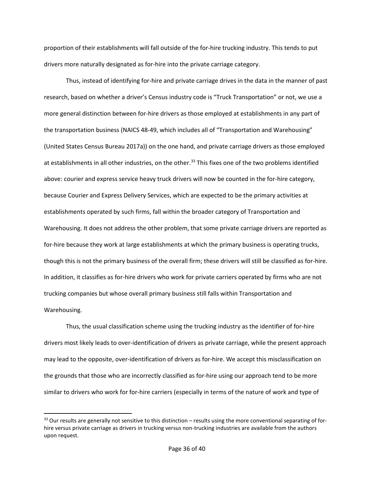proportion of their establishments will fall outside of the for-hire trucking industry. This tends to put drivers more naturally designated as for-hire into the private carriage category.

Thus, instead of identifying for-hire and private carriage drives in the data in the manner of past research, based on whether a driver's Census industry code is "Truck Transportation" or not, we use a more general distinction between for-hire drivers as those employed at establishments in any part of the transportation business (NAICS 48-49, which includes all of "Transportation and Warehousing" (United States Census Bureau 2017a)) on the one hand, and private carriage drivers as those employed at establishments in all other industries, on the other.<sup>[33](#page-36-0)</sup> This fixes one of the two problems identified above: courier and express service heavy truck drivers will now be counted in the for-hire category, because Courier and Express Delivery Services, which are expected to be the primary activities at establishments operated by such firms, fall within the broader category of Transportation and Warehousing. It does not address the other problem, that some private carriage drivers are reported as for-hire because they work at large establishments at which the primary business is operating trucks, though this is not the primary business of the overall firm; these drivers will still be classified as for-hire. In addition, it classifies as for-hire drivers who work for private carriers operated by firms who are not trucking companies but whose overall primary business still falls within Transportation and Warehousing.

Thus, the usual classification scheme using the trucking industry as the identifier of for-hire drivers most likely leads to over-identification of drivers as private carriage, while the present approach may lead to the opposite, over-identification of drivers as for-hire. We accept this misclassification on the grounds that those who are incorrectly classified as for-hire using our approach tend to be more similar to drivers who work for for-hire carriers (especially in terms of the nature of work and type of

l

<span id="page-36-0"></span> $33$  Our results are generally not sensitive to this distinction – results using the more conventional separating of forhire versus private carriage as drivers in trucking versus non-trucking industries are available from the authors upon request.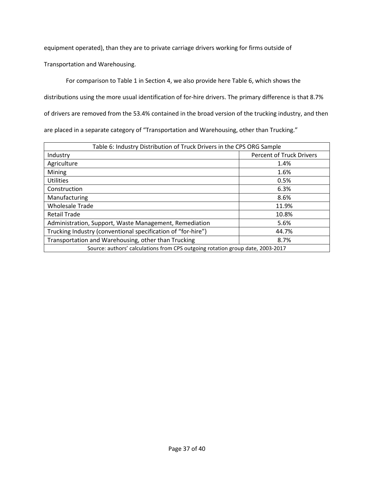equipment operated), than they are to private carriage drivers working for firms outside of

Transportation and Warehousing.

For comparison to [Table 1](#page-14-1) in Section [4,](#page-11-0) we also provide here [Table 6](#page-37-0), which shows the

distributions using the more usual identification of for-hire drivers. The primary difference is that 8.7%

of drivers are removed from the 53.4% contained in the broad version of the trucking industry, and then

are placed in a separate category of "Transportation and Warehousing, other than Trucking."

<span id="page-37-0"></span>

| Table 6: Industry Distribution of Truck Drivers in the CPS ORG Sample          |                                 |  |
|--------------------------------------------------------------------------------|---------------------------------|--|
| Industry                                                                       | <b>Percent of Truck Drivers</b> |  |
| Agriculture                                                                    | 1.4%                            |  |
| Mining                                                                         | 1.6%                            |  |
| <b>Utilities</b>                                                               | 0.5%                            |  |
| Construction                                                                   | 6.3%                            |  |
| Manufacturing                                                                  | 8.6%                            |  |
| <b>Wholesale Trade</b>                                                         | 11.9%                           |  |
| <b>Retail Trade</b>                                                            | 10.8%                           |  |
| Administration, Support, Waste Management, Remediation                         | 5.6%                            |  |
| Trucking Industry (conventional specification of "for-hire")                   | 44.7%                           |  |
| Transportation and Warehousing, other than Trucking                            | 8.7%                            |  |
| Source: authors' calculations from CPS outgoing rotation group date, 2003-2017 |                                 |  |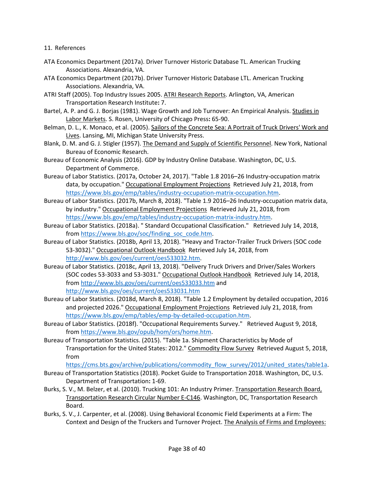# <span id="page-38-0"></span>11. References

- ATA Economics Department (2017a). Driver Turnover Historic Database TL. American Trucking Associations. Alexandria, VA.
- ATA Economics Department (2017b). Driver Turnover Historic Database LTL. American Trucking Associations. Alexandria, VA.
- ATRI Staff (2005). Top Industry Issues 2005. ATRI Research Reports. Arlington, VA, American Transportation Research Institute**:** 7.
- Bartel, A. P. and G. J. Borjas (1981). Wage Growth and Job Turnover: An Empirical Analysis. Studies in Labor Markets. S. Rosen, University of Chicago Press**:** 65-90.
- Belman, D. L., K. Monaco, et al. (2005). Sailors of the Concrete Sea: A Portrait of Truck Drivers' Work and Lives. Lansing, MI, Michigan State University Press.
- Blank, D. M. and G. J. Stigler (1957). The Demand and Supply of Scientific Personnel. New York, National Bureau of Economic Research.
- Bureau of Economic Analysis (2016). GDP by Industry Online Database. Washington, DC, U.S. Department of Commerce.
- Bureau of Labor Statistics. (2017a, October 24, 2017). "Table 1.8 2016–26 Industry-occupation matrix data, by occupation." Occupational Employment Projections Retrieved July 21, 2018, from [https://www.bls.gov/emp/tables/industry-occupation-matrix-occupation.htm.](https://www.bls.gov/emp/tables/industry-occupation-matrix-occupation.htm)
- Bureau of Labor Statistics. (2017b, March 8, 2018). "Table 1.9 2016–26 Industry-occupation matrix data, by industry." Occupational Employment Projections Retrieved July 21, 2018, from [https://www.bls.gov/emp/tables/industry-occupation-matrix-industry.htm.](https://www.bls.gov/emp/tables/industry-occupation-matrix-industry.htm)
- Bureau of Labor Statistics. (2018a). " Standard Occupational Classification." Retrieved July 14, 2018, from [https://www.bls.gov/soc/finding\\_soc\\_code.htm.](https://www.bls.gov/soc/finding_soc_code.htm)
- Bureau of Labor Statistics. (2018b, April 13, 2018). "Heavy and Tractor-Trailer Truck Drivers (SOC code 53-3032)." Occupational Outlook Handbook Retrieved July 14, 2018, from [http://www.bls.gov/oes/current/oes533032.htm.](http://www.bls.gov/oes/current/oes533032.htm)
- Bureau of Labor Statistics. (2018c, April 13, 2018). "Delivery Truck Drivers and Driver/Sales Workers (SOC codes 53-3033 and 53-3031." Occupational Outlook Handbook Retrieved July 14, 2018, from<http://www.bls.gov/oes/current/oes533033.htm> and <http://www.bls.gov/oes/current/oes533031.htm>
- Bureau of Labor Statistics. (2018d, March 8, 2018). "Table 1.2 Employment by detailed occupation, 2016 and projected 2026." Occupational Employment Projections Retrieved July 21, 2018, from [https://www.bls.gov/emp/tables/emp-by-detailed-occupation.htm.](https://www.bls.gov/emp/tables/emp-by-detailed-occupation.htm)
- Bureau of Labor Statistics. (2018f). "Occupational Requirements Survey." Retrieved August 9, 2018, from [https://www.bls.gov/opub/hom/ors/home.htm.](https://www.bls.gov/opub/hom/ors/home.htm)
- Bureau of Transportation Statistics. (2015). "Table 1a. Shipment Characteristics by Mode of Transportation for the United States: 2012." Commodity Flow Survey Retrieved August 5, 2018, from

[https://cms.bts.gov/archive/publications/commodity\\_flow\\_survey/2012/united\\_states/table1a.](https://cms.bts.gov/archive/publications/commodity_flow_survey/2012/united_states/table1a)

- Bureau of Transportation Statistics (2018). Pocket Guide to Transportation 2018. Washington, DC, U.S. Department of Transportation**:** 1-69.
- Burks, S. V., M. Belzer, et al. (2010). Trucking 101: An Industry Primer. Transportation Research Board, Transportation Research Circular Number E-C146. Washington, DC, Transportation Research Board.
- Burks, S. V., J. Carpenter, et al. (2008). Using Behavioral Economic Field Experiments at a Firm: The Context and Design of the Truckers and Turnover Project. The Analysis of Firms and Employees: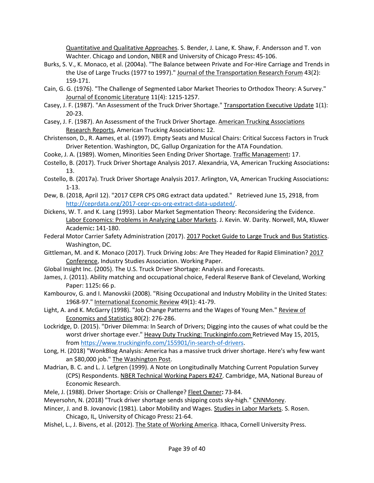Quantitative and Qualitative Approaches. S. Bender, J. Lane, K. Shaw, F. Andersson and T. von Wachter. Chicago and London, NBER and University of Chicago Press**:** 45-106.

- Burks, S. V., K. Monaco, et al. (2004a). "The Balance between Private and For-Hire Carriage and Trends in the Use of Large Trucks (1977 to 1997)." Journal of the Transportation Research Forum 43(2): 159-171.
- Cain, G. G. (1976). "The Challenge of Segmented Labor Market Theories to Orthodox Theory: A Survey." Journal of Economic Literature 11(4): 1215-1257.
- Casey, J. F. (1987). "An Assessment of the Truck Driver Shortage." Transportation Executive Update 1(1): 20-23.
- Casey, J. F. (1987). An Assessment of the Truck Driver Shortage. American Trucking Associations Research Reports, American Trucking Associations**:** 12.
- Christenson, D., R. Aames, et al. (1997). Empty Seats and Musical Chairs: Critical Success Factors in Truck Driver Retention. Washington, DC, Gallup Organization for the ATA Foundation.
- Cooke, J. A. (1989). Women, Minorities Seen Ending Driver Shortage. Traffic Management**:** 17.
- Costello, B. (2017). Truck Driver Shortage Analysis 2017. Alexandria, VA, American Trucking Associations**:**  13.
- Costello, B. (2017a). Truck Driver Shortage Analysis 2017. Arlington, VA, American Trucking Associations**:**  1-13.
- Dew, B. (2018, April 12). "2017 CEPR CPS ORG extract data updated." Retrieved June 15, 2918, from [http://ceprdata.org/2017-cepr-cps-org-extract-data-updated/.](http://ceprdata.org/2017-cepr-cps-org-extract-data-updated/)
- Dickens, W. T. and K. Lang (1993). Labor Market Segmentation Theory: Reconsidering the Evidence. Labor Economics: Problems in Analyzing Labor Markets. J. Kevin. W. Darity. Norwell, MA, Kluwer Academic**:** 141-180.
- Federal Motor Carrier Safety Administration (2017). 2017 Pocket Guide to Large Truck and Bus Statistics. Washington, DC.
- Gittleman, M. and K. Monaco (2017). Truck Driving Jobs: Are They Headed for Rapid Elimination? 2017 Conference, Industry Studies Association. Working Paper.
- Global Insight Inc. (2005). The U.S. Truck Driver Shortage: Analysis and Forecasts.
- James, J. (2011). Ability matching and occupational choice, Federal Reserve Bank of Cleveland, Working Paper: 1125**:** 66 p.
- Kambourov, G. and I. Manovskii (2008). "Rising Occupational and Industry Mobility in the United States: 1968-97." International Economic Review 49(1): 41-79.
- Light, A. and K. McGarry (1998). "Job Change Patterns and the Wages of Young Men." Review of Economics and Statistics 80(2): 276-286.
- Lockridge, D. (2015). "Driver Dilemma: In Search of Drivers; Digging into the causes of what could be the worst driver shortage ever." Heavy Duty Trucking: Truckinginfo.com Retrieved May 15, 2015, from [https://www.truckinginfo.com/155901/in-search-of-drivers.](https://www.truckinginfo.com/155901/in-search-of-drivers)
- Long, H. (2018) "WonkBlog Analysis: America has a massive truck driver shortage. Here's why few want an \$80,000 job." The Washington Post.
- Madrian, B. C. and L. J. Lefgren (1999). A Note on Longitudinally Matching Current Population Survey (CPS) Respondents. NBER Technical Working Papers #247. Cambridge, MA, National Bureau of Economic Research.
- Mele, J. (1988). Driver Shortage: Crisis or Challenge? Fleet Owner**:** 73-84.
- Meyersohn, N. (2018) "Truck driver shortage sends shipping costs sky-high." CNNMoney.
- Mincer, J. and B. Jovanovic (1981). Labor Mobility and Wages. Studies in Labor Markets. S. Rosen. Chicago, IL, University of Chicago Press**:** 21-64.
- Mishel, L., J. Bivens, et al. (2012). The State of Working America. Ithaca, Cornell University Press.